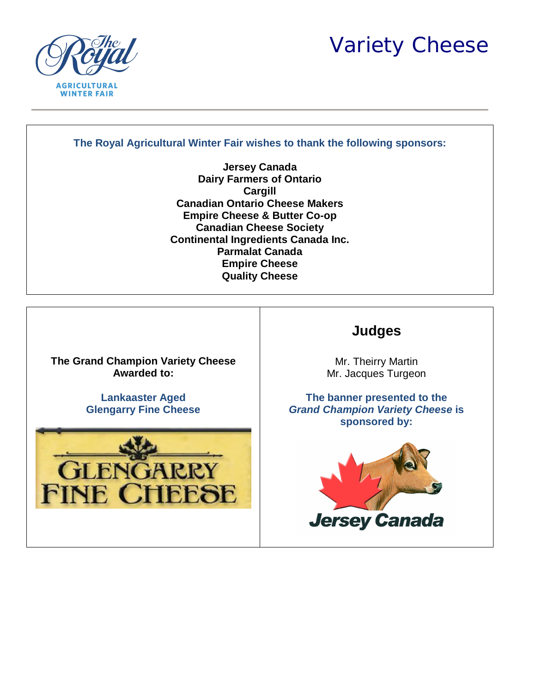*Variety Cheese*



## **The Royal Agricultural Winter Fair wishes to thank the following sponsors:**

**Jersey Canada Dairy Farmers of Ontario Cargill Canadian Ontario Cheese Makers Empire Cheese & Butter Co-op Canadian Cheese Society Continental Ingredients Canada Inc. Parmalat Canada Empire Cheese Quality Cheese**

**The Grand Champion Variety Cheese Awarded to:**

> **Lankaaster Aged Glengarry Fine Cheese**



# **Judges**

Mr. Theirry Martin Mr. Jacques Turgeon

**The banner presented to the**  *Grand Champion Variety Cheese* **is sponsored by:**

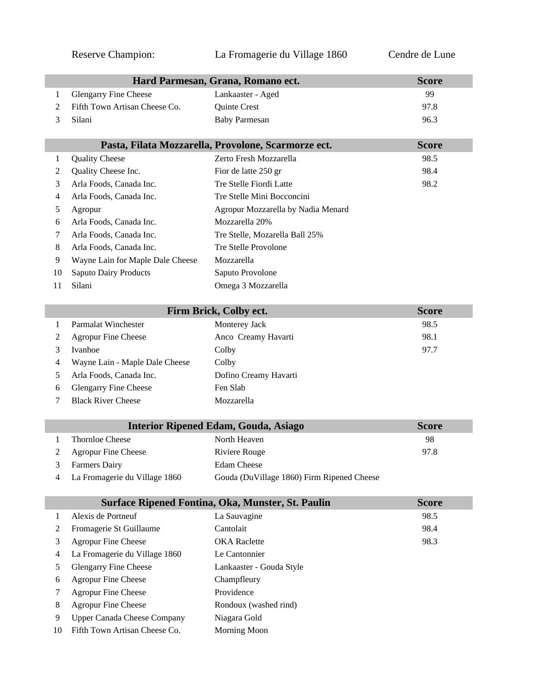## Reserve Champion: La Fromagerie du Village 1860 Cendre de Lune

|        |                                                                     | Hard Parmesan, Grana, Romano ect.                   | <b>Score</b> |
|--------|---------------------------------------------------------------------|-----------------------------------------------------|--------------|
| 1      | <b>Glengarry Fine Cheese</b>                                        | Lankaaster - Aged                                   | 99           |
| 2      | Fifth Town Artisan Cheese Co.                                       | Quinte Crest                                        | 97.8         |
| 3      | Silani                                                              | <b>Baby Parmesan</b>                                | 96.3         |
|        |                                                                     |                                                     |              |
|        |                                                                     | Pasta, Filata Mozzarella, Provolone, Scarmorze ect. | <b>Score</b> |
| 1      | <b>Quality Cheese</b>                                               | Zerto Fresh Mozzarella                              | 98.5         |
| 2      | Quality Cheese Inc.                                                 | Fior de latte 250 gr                                | 98.4         |
| 3      | Arla Foods, Canada Inc.                                             | Tre Stelle Fiordi Latte                             | 98.2         |
| 4      | Arla Foods, Canada Inc.                                             | Tre Stelle Mini Bocconcini                          |              |
| 5      | Agropur                                                             | Agropur Mozzarella by Nadia Menard                  |              |
| 6      | Arla Foods, Canada Inc.                                             | Mozzarella 20%                                      |              |
| 7      | Arla Foods, Canada Inc.                                             | Tre Stelle, Mozarella Ball 25%                      |              |
| 8      | Arla Foods, Canada Inc.                                             | Tre Stelle Provolone                                |              |
| 9      | Wayne Lain for Maple Dale Cheese                                    | Mozzarella                                          |              |
| 10     | <b>Saputo Dairy Products</b>                                        | Saputo Provolone                                    |              |
| 11     | Silani                                                              | Omega 3 Mozzarella                                  |              |
|        |                                                                     |                                                     |              |
|        |                                                                     | Firm Brick, Colby ect.                              | <b>Score</b> |
| 1      | <b>Parmalat Winchester</b>                                          | Monterey Jack                                       | 98.5         |
| 2      | <b>Agropur Fine Cheese</b>                                          | Anco Creamy Havarti                                 | 98.1         |
| 3      | Ivanhoe                                                             | Colby                                               | 97.7         |
| 4      | Wayne Lain - Maple Dale Cheese                                      | Colby                                               |              |
| 5      | Arla Foods, Canada Inc.                                             | Dofino Creamy Havarti                               |              |
| 6      | <b>Glengarry Fine Cheese</b>                                        | Fen Slab                                            |              |
| 7      | <b>Black River Cheese</b>                                           | Mozzarella                                          |              |
|        |                                                                     |                                                     |              |
|        |                                                                     | <b>Interior Ripened Edam, Gouda, Asiago</b>         | <b>Score</b> |
| 1      | <b>Thornloe Cheese</b>                                              | North Heaven                                        | 98           |
| 2      | Agropur Fine Cheese                                                 | Riviere Rouge                                       | 97.8         |
| 3      | <b>Farmers Dairy</b>                                                | <b>Edam Cheese</b>                                  |              |
| 4      | La Fromagerie du Village 1860                                       | Gouda (DuVillage 1860) Firm Ripened Cheese          |              |
|        |                                                                     | Surface Ripened Fontina, Oka, Munster, St. Paulin   | <b>Score</b> |
| 1      | Alexis de Portneuf                                                  | La Sauvagine                                        | 98.5         |
| 2      | Fromagerie St Guillaume                                             | Cantolait                                           | 98.4         |
| 3      | <b>Agropur Fine Cheese</b>                                          | <b>OKA</b> Raclette                                 | 98.3         |
| 4      | La Fromagerie du Village 1860                                       | Le Cantonnier                                       |              |
| 5      | <b>Glengarry Fine Cheese</b>                                        | Lankaaster - Gouda Style                            |              |
|        | <b>Agropur Fine Cheese</b>                                          | Champfleury                                         |              |
| 6<br>7 | <b>Agropur Fine Cheese</b>                                          | Providence                                          |              |
|        |                                                                     | Rondoux (washed rind)                               |              |
| 8<br>9 | Agropur Fine Cheese                                                 |                                                     |              |
| 10     | <b>Upper Canada Cheese Company</b><br>Fifth Town Artisan Cheese Co. | Niagara Gold                                        |              |
|        |                                                                     | Morning Moon                                        |              |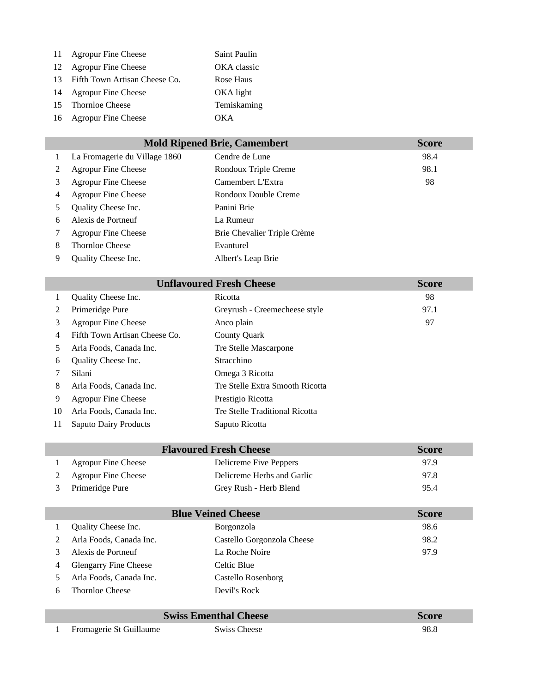| 11  | <b>Agropur Fine Cheese</b>    | Saint Paulin |
|-----|-------------------------------|--------------|
| 12  | <b>Agropur Fine Cheese</b>    | OKA classic  |
| 13  | Fifth Town Artisan Cheese Co. | Rose Haus    |
| 14  | <b>Agropur Fine Cheese</b>    | OKA light    |
| 15. | <b>Thornloe Cheese</b>        | Temiskaming  |
|     | 16 Agropur Fine Cheese        | OKA          |
|     |                               |              |

| <b>Mold Ripened Brie, Camembert</b> |                               |                             | <b>Score</b> |
|-------------------------------------|-------------------------------|-----------------------------|--------------|
| $\mathbf{1}$                        | La Fromagerie du Village 1860 | Cendre de Lune              | 98.4         |
| 2                                   | <b>Agropur Fine Cheese</b>    | Rondoux Triple Creme        | 98.1         |
| 3                                   | <b>Agropur Fine Cheese</b>    | Camembert L'Extra           | 98           |
| $\overline{4}$                      | <b>Agropur Fine Cheese</b>    | Rondoux Double Creme        |              |
| 5                                   | Quality Cheese Inc.           | Panini Brie                 |              |
| 6                                   | Alexis de Portneuf            | La Rumeur                   |              |
| 7                                   | <b>Agropur Fine Cheese</b>    | Brie Chevalier Triple Crème |              |
| 8                                   | <b>Thornloe Cheese</b>        | Evanturel                   |              |
| 9                                   | Quality Cheese Inc.           | Albert's Leap Brie          |              |

| <b>Unflavoured Fresh Cheese</b> |                               |                                 | <b>Score</b> |
|---------------------------------|-------------------------------|---------------------------------|--------------|
| 1                               | Quality Cheese Inc.           | Ricotta                         | 98           |
| 2                               | Primeridge Pure               | Greyrush - Creemecheese style   | 97.1         |
| 3                               | <b>Agropur Fine Cheese</b>    | Anco plain                      | 97           |
| 4                               | Fifth Town Artisan Cheese Co. | <b>County Quark</b>             |              |
| 5                               | Arla Foods, Canada Inc.       | Tre Stelle Mascarpone           |              |
| 6                               | Quality Cheese Inc.           | <b>Stracchino</b>               |              |
| 7                               | Silani                        | Omega 3 Ricotta                 |              |
| 8                               | Arla Foods, Canada Inc.       | Tre Stelle Extra Smooth Ricotta |              |
| 9                               | <b>Agropur Fine Cheese</b>    | Prestigio Ricotta               |              |
| 10                              | Arla Foods, Canada Inc.       | Tre Stelle Traditional Ricotta  |              |
| 11                              | <b>Saputo Dairy Products</b>  | Saputo Ricotta                  |              |

|   |                            | <b>Flavoured Fresh Cheese</b> | <b>Score</b> |
|---|----------------------------|-------------------------------|--------------|
|   | <b>Agropur Fine Cheese</b> | Delicreme Five Peppers        | 97.9         |
|   | <b>Agropur Fine Cheese</b> | Delicreme Herbs and Garlic    | 97.8         |
| 3 | Primeridge Pure            | Grey Rush - Herb Blend        | 95.4         |

| <b>Blue Veined Cheese</b> |                              | <b>Score</b>               |      |
|---------------------------|------------------------------|----------------------------|------|
|                           | Quality Cheese Inc.          | Borgonzola                 | 98.6 |
|                           | Arla Foods, Canada Inc.      | Castello Gorgonzola Cheese | 98.2 |
|                           | Alexis de Portneuf           | La Roche Noire             | 97.9 |
| 4                         | <b>Glengarry Fine Cheese</b> | Celtic Blue                |      |
|                           | Arla Foods, Canada Inc.      | Castello Rosenborg         |      |
| h                         | <b>Thornloe Cheese</b>       | Devil's Rock               |      |

| <b>Swiss Ementhal Cheese</b> |                         | <b>Score</b>        |      |
|------------------------------|-------------------------|---------------------|------|
|                              | Fromagerie St Guillaume | <b>Swiss Cheese</b> | 98.8 |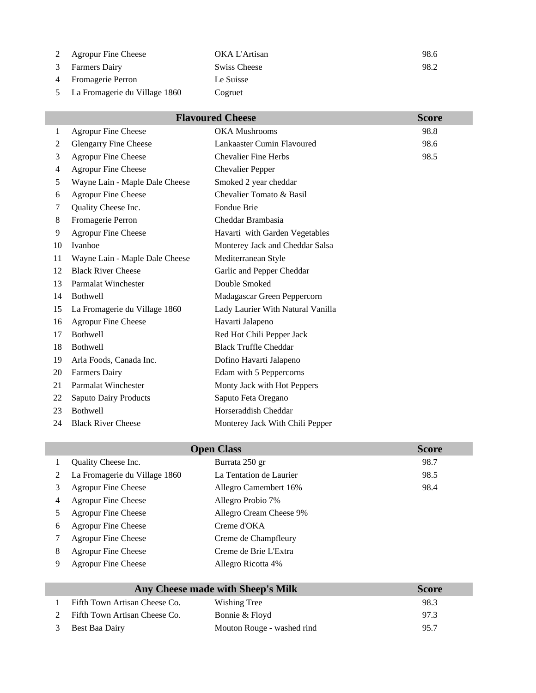|   | 2 Agropur Fine Cheese         | OKA L'Artisan | 98.6 |
|---|-------------------------------|---------------|------|
|   | <b>Farmers Dairy</b>          | Swiss Cheese  | 98.2 |
| 4 | <b>Fromagerie Perron</b>      | Le Suisse     |      |
|   | La Fromagerie du Village 1860 | Cogruet       |      |

| <b>Flavoured Cheese</b><br><b>Score</b> |                                |                                   |      |
|-----------------------------------------|--------------------------------|-----------------------------------|------|
| 1                                       | <b>Agropur Fine Cheese</b>     | <b>OKA Mushrooms</b>              | 98.8 |
| 2                                       | Glengarry Fine Cheese          | Lankaaster Cumin Flavoured        | 98.6 |
| 3                                       | <b>Agropur Fine Cheese</b>     | <b>Chevalier Fine Herbs</b>       | 98.5 |
| 4                                       | <b>Agropur Fine Cheese</b>     | <b>Chevalier Pepper</b>           |      |
| 5                                       | Wayne Lain - Maple Dale Cheese | Smoked 2 year cheddar             |      |
| 6                                       | <b>Agropur Fine Cheese</b>     | Chevalier Tomato & Basil          |      |
| 7                                       | Quality Cheese Inc.            | Fondue Brie                       |      |
| 8                                       | Fromagerie Perron              | Cheddar Brambasia                 |      |
| 9                                       | <b>Agropur Fine Cheese</b>     | Havarti with Garden Vegetables    |      |
| 10                                      | Ivanhoe                        | Monterey Jack and Cheddar Salsa   |      |
| 11                                      | Wayne Lain - Maple Dale Cheese | Mediterranean Style               |      |
| 12                                      | <b>Black River Cheese</b>      | Garlic and Pepper Cheddar         |      |
| 13                                      | <b>Parmalat Winchester</b>     | Double Smoked                     |      |
| 14                                      | <b>Bothwell</b>                | Madagascar Green Peppercorn       |      |
| 15                                      | La Fromagerie du Village 1860  | Lady Laurier With Natural Vanilla |      |
| 16                                      | Agropur Fine Cheese            | Havarti Jalapeno                  |      |
| 17                                      | <b>Bothwell</b>                | Red Hot Chili Pepper Jack         |      |
| 18                                      | <b>Bothwell</b>                | <b>Black Truffle Cheddar</b>      |      |
| 19                                      | Arla Foods, Canada Inc.        | Dofino Havarti Jalapeno           |      |
| 20                                      | <b>Farmers Dairy</b>           | Edam with 5 Peppercorns           |      |
| 21                                      | Parmalat Winchester            | Monty Jack with Hot Peppers       |      |
| 22                                      | <b>Saputo Dairy Products</b>   | Saputo Feta Oregano               |      |
| 23                                      | <b>Bothwell</b>                | Horseraddish Cheddar              |      |
| 24                                      | <b>Black River Cheese</b>      | Monterey Jack With Chili Pepper   |      |

| <b>Open Class</b> |                               |                         | <b>Score</b> |
|-------------------|-------------------------------|-------------------------|--------------|
|                   | Quality Cheese Inc.           | Burrata 250 gr          | 98.7         |
| 2                 | La Fromagerie du Village 1860 | La Tentation de Laurier | 98.5         |
| 3                 | <b>Agropur Fine Cheese</b>    | Allegro Camembert 16%   | 98.4         |
| 4                 | <b>Agropur Fine Cheese</b>    | Allegro Probio 7%       |              |
|                   | <b>Agropur Fine Cheese</b>    | Allegro Cream Cheese 9% |              |
| 6                 | <b>Agropur Fine Cheese</b>    | Creme d'OKA             |              |
|                   | <b>Agropur Fine Cheese</b>    | Creme de Champfleury    |              |
| 8                 | <b>Agropur Fine Cheese</b>    | Creme de Brie L'Extra   |              |
| 9                 | <b>Agropur Fine Cheese</b>    | Allegro Ricotta 4%      |              |
|                   |                               |                         |              |

| Any Cheese made with Sheep's Milk | <b>Score</b>               |      |
|-----------------------------------|----------------------------|------|
| Fifth Town Artisan Cheese Co.     | Wishing Tree               | 98.3 |
| Fifth Town Artisan Cheese Co.     | Bonnie & Floyd             | 97.3 |
| Best Baa Dairy                    | Mouton Rouge - washed rind | 95.7 |